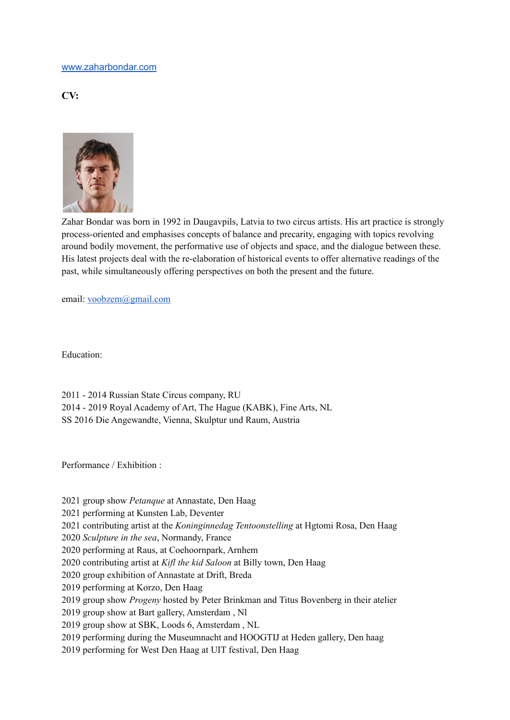## [www.zaharbondar.com](http://www.zaharbondar.com)

**CV:**



Zahar Bondar was born in 1992 in Daugavpils, Latvia to two circus artists. His art practice is strongly process-oriented and emphasises concepts of balance and precarity, engaging with topics revolving around bodily movement, the performative use of objects and space, and the dialogue between these. His latest projects deal with the re-elaboration of historical events to offer alternative readings of the past, while simultaneously offering perspectives on both the present and the future.

email: [voobzem@gmail.com](mailto:voobzem@gmail.com)

Education:

2011 - 2014 Russian State Circus company, RU 2014 - 2019 Royal Academy of Art, The Hague (KABK), Fine Arts, NL SS 2016 Die Angewandte, Vienna, Skulptur und Raum, Austria

Performance / Exhibition :

2021 group show *Petanque* at Annastate, Den Haag

2021 performing at Kunsten Lab, Deventer

2021 contributing artist at the *Koninginnedag Tentoonstelling* at Hgtomi Rosa, Den Haag

2020 *Sculpture in the sea*, Normandy, France

2020 performing at Raus, at Coehoornpark, Arnhem

2020 contributing artist at *Kifl the kid Saloon* at Billy town, Den Haag

2020 group exhibition of Annastate at Drift, Breda

2019 performing at Korzo, Den Haag

2019 group show *Progeny* hosted by Peter Brinkman and Titus Bovenberg in their atelier

2019 group show at Bart gallery, Amsterdam , Nl

2019 group show at SBK, Loods 6, Amsterdam , NL

2019 performing during the Museumnacht and HOOGTIJ at Heden gallery, Den haag

2019 performing for West Den Haag at UIT festival, Den Haag